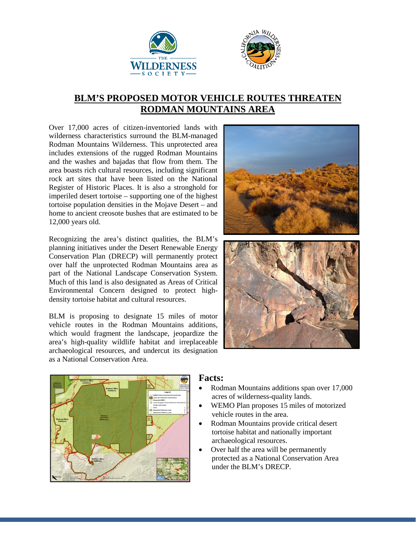



## **BLM'S PROPOSED MOTOR VEHICLE ROUTES THREATEN RODMAN MOUNTAINS AREA**

Over 17,000 acres of citizen-inventoried lands with wilderness characteristics surround the BLM-managed Rodman Mountains Wilderness. This unprotected area includes extensions of the rugged Rodman Mountains and the washes and bajadas that flow from them. The area boasts rich cultural resources, including significant rock art sites that have been listed on the National Register of Historic Places. It is also a stronghold for imperiled desert tortoise – supporting one of the highest tortoise population densities in the Mojave Desert – and home to ancient creosote bushes that are estimated to be 12,000 years old.

Recognizing the area's distinct qualities, the BLM's planning initiatives under the Desert Renewable Energy Conservation Plan (DRECP) will permanently protect over half the unprotected Rodman Mountains area as part of the National Landscape Conservation System. Much of this land is also designated as Areas of Critical Environmental Concern designed to protect highdensity tortoise habitat and cultural resources.

BLM is proposing to designate 15 miles of motor vehicle routes in the Rodman Mountains additions, which would fragment the landscape, jeopardize the area's high-quality wildlife habitat and irreplaceable archaeological resources, and undercut its designation as a National Conservation Area.





## **Facts:**

- Rodman Mountains additions span over 17,000 acres of wilderness-quality lands.
- WEMO Plan proposes 15 miles of motorized vehicle routes in the area.
- Rodman Mountains provide critical desert tortoise habitat and nationally important archaeological resources.
- Over half the area will be permanently protected as a National Conservation Area under the BLM's DRECP.